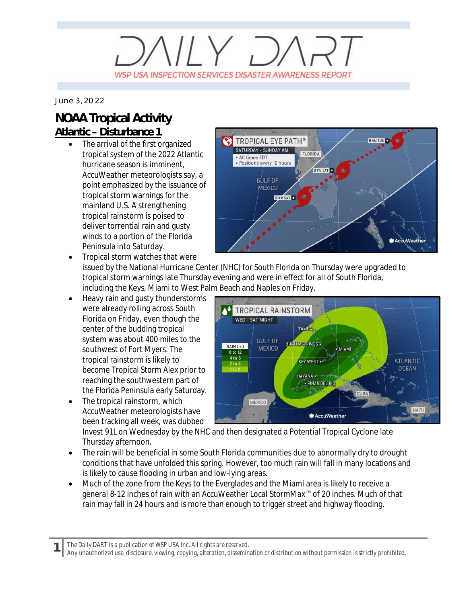## $V/Y$   $D/$ WSP USA INSPECTION SERVICES DISASTER AWARENESS REPORT

*June 3, 2022*

## **NOAA Tropical Activity Atlantic – Disturbance 1**

The arrival of the first organized tropical system of the 2022 Atlantic hurricane season is imminent, AccuWeather meteorologists say, a point emphasized by the issuance of tropical storm warnings for the mainland U.S. A strengthening tropical rainstorm is poised to deliver torrential rain and gusty winds to a portion of the Florida Peninsula into Saturday.



· Tropical storm watches that were issued by the National Hurricane Center (NHC) for South Florida on Thursday were upgraded to tropical storm warnings late Thursday evening and were in effect for all of South Florida, including the Keys, Miami to West Palm Beach and Naples on Friday.

- Heavy rain and gusty thunderstorms were already rolling across South Florida on Friday, even though the center of the budding tropical system was about 400 miles to the southwest of Fort Myers. The tropical rainstorm is likely to become Tropical Storm Alex prior to reaching the southwestern part of the Florida Peninsula early Saturday.
- The tropical rainstorm, which AccuWeather meteorologists have been tracking all week, was dubbed

TROPICAL RAINSTORM WED - SAT NIGHT TAMPA<sup>.</sup> **GULF OF BONITA SPRINGS .** RAIN (in) **MEXICO MIAMI** 8 to 12 4 to 8 **ATLANTIC KEY WEST . DCFAN** HAVANA. · PINAR DEL RI MÉXICO HAITI AccuWeather

Invest 91L on Wednesday by the NHC and then designated a Potential Tropical Cyclone late Thursday afternoon.

- The rain will be beneficial in some South Florida communities due to abnormally dry to drought conditions that have unfolded this spring. However, too much rain will fall in many locations and is likely to cause flooding in urban and low-lying areas.
- · Much of the zone from the Keys to the Everglades and the Miami area is likely to receive a general 8-12 inches of rain with an AccuWeather Local StormMax™ of 20 inches. Much of that rain may fall in 24 hours and is more than enough to trigger street and highway flooding.

*The Daily DART is a publication of WSP USA Inc. All rights are reserved.*

**1**

*Any unauthorized use, disclosure, viewing, copying, alteration, dissemination or distribution without permission is strictly prohibited.*